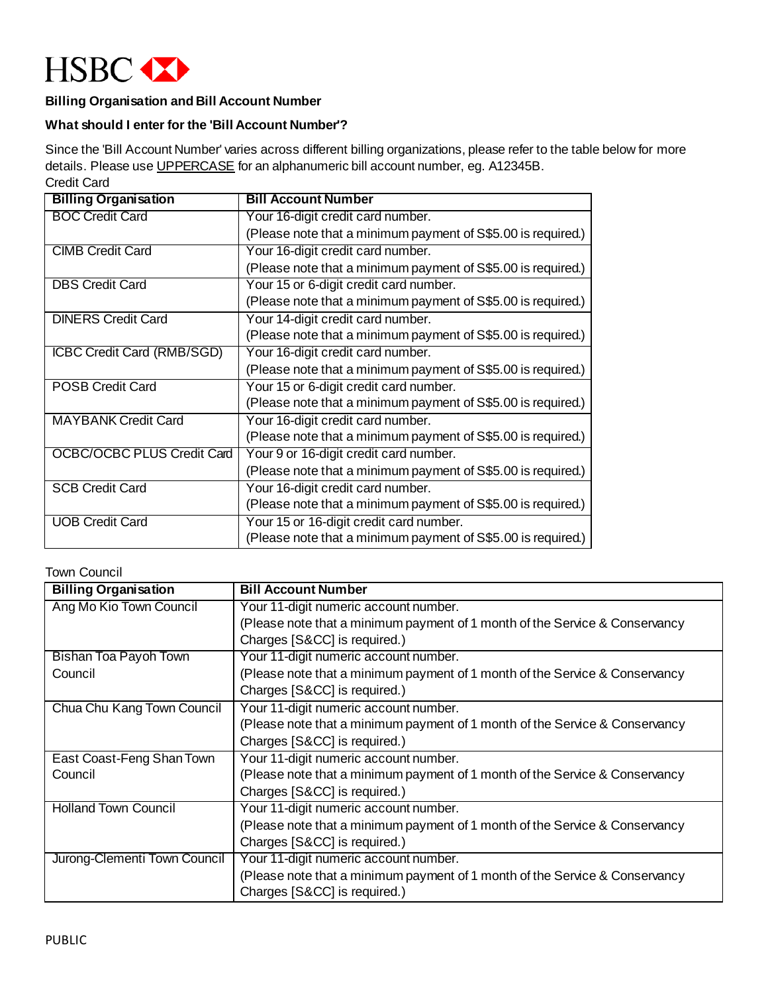

# **Billing Organisation and Bill Account Number**

### **What should I enter for the 'Bill Account Number'?**

Since the 'Bill Account Number' varies across different billing organizations, please refer to the table below for more details. Please use UPPERCASE for an alphanumeric bill account number, eg. A12345B. Credit Card

| <b>Billing Organisation</b>       | <b>Bill Account Number</b>                                   |
|-----------------------------------|--------------------------------------------------------------|
| <b>BOC Credit Card</b>            | Your 16-digit credit card number.                            |
|                                   | (Please note that a minimum payment of S\$5.00 is required.) |
| <b>CIMB Credit Card</b>           | Your 16-digit credit card number.                            |
|                                   | (Please note that a minimum payment of S\$5.00 is required.) |
| <b>DBS Credit Card</b>            | Your 15 or 6-digit credit card number.                       |
|                                   | (Please note that a minimum payment of S\$5.00 is required.) |
| <b>DINERS Credit Card</b>         | Your 14-digit credit card number.                            |
|                                   | (Please note that a minimum payment of S\$5.00 is required.) |
| <b>ICBC Credit Card (RMB/SGD)</b> | Your 16-digit credit card number.                            |
|                                   | (Please note that a minimum payment of S\$5.00 is required.) |
| <b>POSB Credit Card</b>           | Your 15 or 6-digit credit card number.                       |
|                                   | (Please note that a minimum payment of S\$5.00 is required.) |
| <b>MAYBANK Credit Card</b>        | Your 16-digit credit card number.                            |
|                                   | (Please note that a minimum payment of S\$5.00 is required.) |
| <b>OCBC/OCBC PLUS Credit Card</b> | Your 9 or 16-digit credit card number.                       |
|                                   | (Please note that a minimum payment of S\$5.00 is required.) |
| <b>SCB Credit Card</b>            | Your 16-digit credit card number.                            |
|                                   | (Please note that a minimum payment of S\$5.00 is required.) |
| <b>UOB Credit Card</b>            | Your 15 or 16-digit credit card number.                      |
|                                   | (Please note that a minimum payment of S\$5.00 is required.) |

#### Town Council

| <b>Billing Organisation</b>  | <b>Bill Account Number</b>                                                  |
|------------------------------|-----------------------------------------------------------------------------|
| Ang Mo Kio Town Council      | Your 11-digit numeric account number.                                       |
|                              | (Please note that a minimum payment of 1 month of the Service & Conservancy |
|                              | Charges [S&CC] is required.)                                                |
| Bishan Toa Payoh Town        | Your 11-digit numeric account number.                                       |
| Council                      | (Please note that a minimum payment of 1 month of the Service & Conservancy |
|                              | Charges [S&CC] is required.)                                                |
| Chua Chu Kang Town Council   | Your 11-digit numeric account number.                                       |
|                              | (Please note that a minimum payment of 1 month of the Service & Conservancy |
|                              | Charges [S&CC] is required.)                                                |
| East Coast-Feng Shan Town    | Your 11-digit numeric account number.                                       |
| Council                      | (Please note that a minimum payment of 1 month of the Service & Conservancy |
|                              | Charges [S&CC] is required.)                                                |
| <b>Holland Town Council</b>  | Your 11-digit numeric account number.                                       |
|                              | (Please note that a minimum payment of 1 month of the Service & Conservancy |
|                              | Charges [S&CC] is required.)                                                |
| Jurong-Clementi Town Council | Your 11-digit numeric account number.                                       |
|                              | (Please note that a minimum payment of 1 month of the Service & Conservancy |
|                              | Charges [S&CC] is required.)                                                |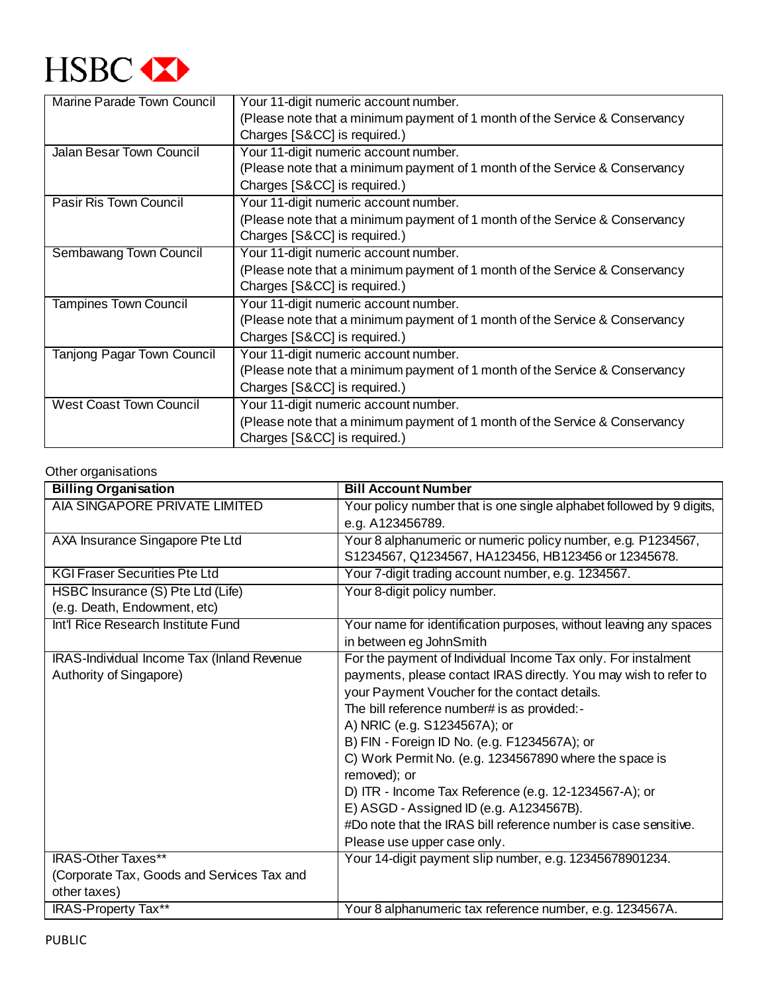

| Marine Parade Town Council     | Your 11-digit numeric account number.                                       |  |
|--------------------------------|-----------------------------------------------------------------------------|--|
|                                | (Please note that a minimum payment of 1 month of the Service & Conservancy |  |
|                                | Charges [S&CC] is required.)                                                |  |
| Jalan Besar Town Council       | Your 11-digit numeric account number.                                       |  |
|                                | (Please note that a minimum payment of 1 month of the Service & Conservancy |  |
|                                | Charges [S&CC] is required.)                                                |  |
| <b>Pasir Ris Town Council</b>  | Your 11-digit numeric account number.                                       |  |
|                                | (Please note that a minimum payment of 1 month of the Service & Conservancy |  |
|                                | Charges [S&CC] is required.)                                                |  |
| Sembawang Town Council         | Your 11-digit numeric account number.                                       |  |
|                                | (Please note that a minimum payment of 1 month of the Service & Conservancy |  |
|                                | Charges [S&CC] is required.)                                                |  |
| <b>Tampines Town Council</b>   | Your 11-digit numeric account number.                                       |  |
|                                | (Please note that a minimum payment of 1 month of the Service & Conservancy |  |
|                                | Charges [S&CC] is required.)                                                |  |
| Tanjong Pagar Town Council     | Your 11-digit numeric account number.                                       |  |
|                                | (Please note that a minimum payment of 1 month of the Service & Conservancy |  |
|                                | Charges [S&CC] is required.)                                                |  |
| <b>West Coast Town Council</b> | Your 11-digit numeric account number.                                       |  |
|                                | (Please note that a minimum payment of 1 month of the Service & Conservancy |  |
|                                | Charges [S&CC] is required.)                                                |  |

## Other organisations

| <b>Billing Organisation</b>                | <b>Bill Account Number</b>                                           |
|--------------------------------------------|----------------------------------------------------------------------|
| AIA SINGAPORE PRIVATE LIMITED              | Your policy number that is one single alphabet followed by 9 digits, |
|                                            | e.g. A123456789.                                                     |
| AXA Insurance Singapore Pte Ltd            | Your 8 alphanumeric or numeric policy number, e.g. P1234567,         |
|                                            | S1234567, Q1234567, HA123456, HB123456 or 12345678.                  |
| <b>KGI Fraser Securities Pte Ltd</b>       | Your 7-digit trading account number, e.g. 1234567.                   |
| HSBC Insurance (S) Pte Ltd (Life)          | Your 8-digit policy number.                                          |
| (e.g. Death, Endowment, etc)               |                                                                      |
| Int'l Rice Research Institute Fund         | Your name for identification purposes, without leaving any spaces    |
|                                            | in between eg JohnSmith                                              |
| IRAS-Individual Income Tax (Inland Revenue | For the payment of Individual Income Tax only. For instalment        |
| Authority of Singapore)                    | payments, please contact IRAS directly. You may wish to refer to     |
|                                            | your Payment Voucher for the contact details.                        |
|                                            | The bill reference number# is as provided:-                          |
|                                            | A) NRIC (e.g. S1234567A); or                                         |
|                                            | B) FIN - Foreign ID No. (e.g. F1234567A); or                         |
|                                            | C) Work Permit No. (e.g. 1234567890 where the space is               |
|                                            | removed); or                                                         |
|                                            | D) ITR - Income Tax Reference (e.g. 12-1234567-A); or                |
|                                            | E) ASGD - Assigned ID (e.g. A1234567B).                              |
|                                            | #Do note that the IRAS bill reference number is case sensitive.      |
|                                            | Please use upper case only.                                          |
| <b>IRAS-Other Taxes**</b>                  | Your 14-digit payment slip number, e.g. 12345678901234.              |
| (Corporate Tax, Goods and Services Tax and |                                                                      |
| other taxes)                               |                                                                      |
| IRAS-Property Tax**                        | Your 8 alphanumeric tax reference number, e.g. 1234567A.             |